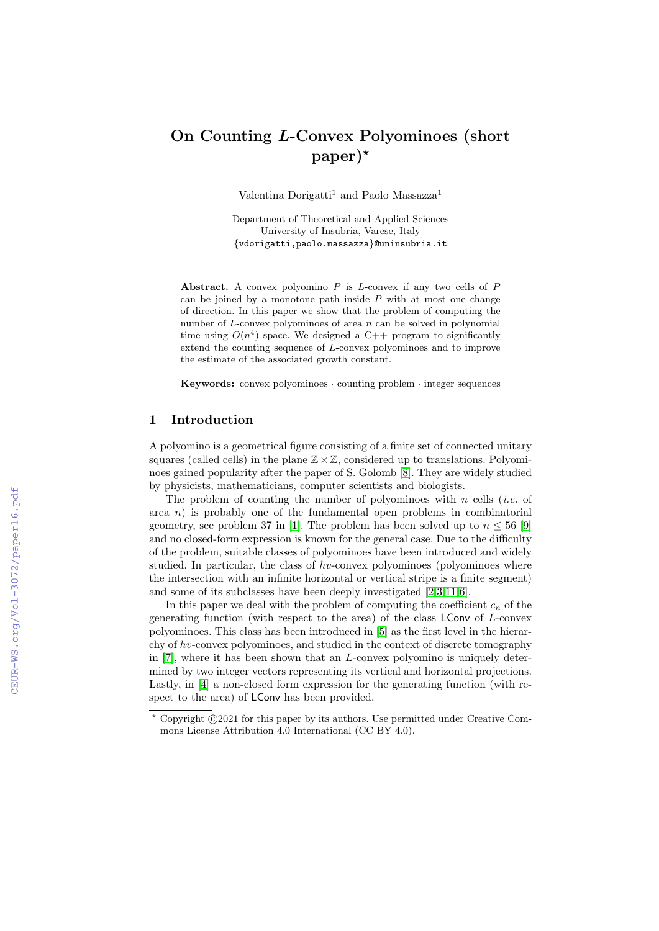# On Counting L-Convex Polyominoes (short  $paper)$ <sup>\*</sup>

Valentina Dorigatti<sup>1</sup> and Paolo Massazza<sup>1</sup>

Department of Theoretical and Applied Sciences University of Insubria, Varese, Italy {vdorigatti,paolo.massazza}@uninsubria.it

Abstract. A convex polyomino  $P$  is  $L$ -convex if any two cells of  $P$ can be joined by a monotone path inside  $P$  with at most one change of direction. In this paper we show that the problem of computing the number of  $L$ -convex polyominoes of area  $n$  can be solved in polynomial time using  $O(n^4)$  space. We designed a C++ program to significantly extend the counting sequence of L-convex polyominoes and to improve the estimate of the associated growth constant.

Keywords: convex polyominoes · counting problem · integer sequences

# 1 Introduction

A polyomino is a geometrical figure consisting of a finite set of connected unitary squares (called cells) in the plane  $\mathbb{Z}\times\mathbb{Z}$ , considered up to translations. Polyominoes gained popularity after the paper of S. Golomb [\[8\]](#page--1-0). They are widely studied by physicists, mathematicians, computer scientists and biologists.

The problem of counting the number of polyominoes with n cells (*i.e.* of area  $n$ ) is probably one of the fundamental open problems in combinatorial geometry, see problem 37 in [\[1\]](#page--1-1). The problem has been solved up to  $n \leq 56$  [\[9\]](#page--1-2) and no closed-form expression is known for the general case. Due to the difficulty of the problem, suitable classes of polyominoes have been introduced and widely studied. In particular, the class of  $hv$ -convex polyominoes (polyominoes where the intersection with an infinite horizontal or vertical stripe is a finite segment) and some of its subclasses have been deeply investigated [\[2,](#page--1-3)[3,](#page--1-4)[11](#page--1-5)[,6\]](#page--1-6).

In this paper we deal with the problem of computing the coefficient  $c_n$  of the generating function (with respect to the area) of the class LConv of L-convex polyominoes. This class has been introduced in [\[5\]](#page--1-7) as the first level in the hierarchy of  $hv$ -convex polyominoes, and studied in the context of discrete tomography in [\[7\]](#page--1-8), where it has been shown that an L-convex polyomino is uniquely determined by two integer vectors representing its vertical and horizontal projections. Lastly, in [\[4\]](#page--1-9) a non-closed form expression for the generating function (with respect to the area) of LConv has been provided.

 $^{\star}$  Copyright  $\odot$  2021 for this paper by its authors. Use permitted under Creative Commons License Attribution 4.0 International (CC BY 4.0).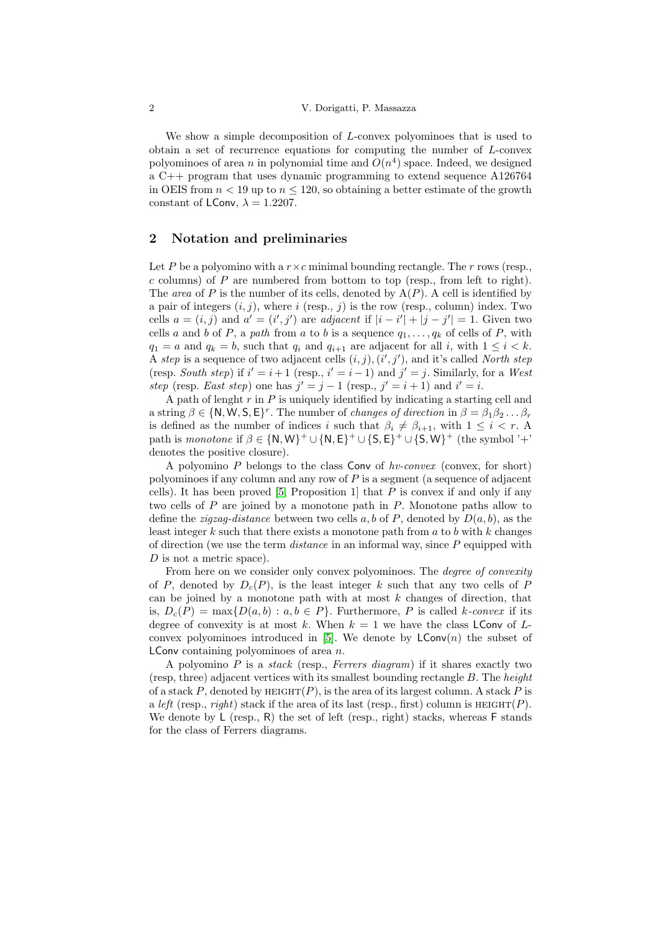We show a simple decomposition of L-convex polyominoes that is used to obtain a set of recurrence equations for computing the number of L-convex polyominoes of area n in polynomial time and  $O(n^4)$  space. Indeed, we designed a C++ program that uses dynamic programming to extend sequence A126764 in OEIS from  $n < 19$  up to  $n < 120$ , so obtaining a better estimate of the growth constant of LConv,  $\lambda = 1.2207$ .

## 2 Notation and preliminaries

Let P be a polyomino with a  $r \times c$  minimal bounding rectangle. The r rows (resp.,  $c$  columns) of  $P$  are numbered from bottom to top (resp., from left to right). The area of P is the number of its cells, denoted by  $A(P)$ . A cell is identified by a pair of integers  $(i, j)$ , where i (resp., j) is the row (resp., column) index. Two cells  $a = (i, j)$  and  $a' = (i', j')$  are *adjacent* if  $|i - i'| + |j - j'| = 1$ . Given two cells a and b of P, a path from a to b is a sequence  $q_1, \ldots, q_k$  of cells of P, with  $q_1 = a$  and  $q_k = b$ , such that  $q_i$  and  $q_{i+1}$  are adjacent for all i, with  $1 \leq i \leq k$ . A step is a sequence of two adjacent cells  $(i, j), (i', j')$ , and it's called North step (resp. South step) if  $i' = i + 1$  (resp.,  $i' = i - 1$ ) and  $j' = j$ . Similarly, for a West step (resp. East step) one has  $j' = j - 1$  (resp.,  $j' = i + 1$ ) and  $i' = i$ .

A path of lenght  $r$  in  $P$  is uniquely identified by indicating a starting cell and a string  $\beta \in \{N, W, S, E\}^r$ . The number of *changes of direction* in  $\beta = \beta_1 \beta_2 \dots \beta_r$ is defined as the number of indices i such that  $\beta_i \neq \beta_{i+1}$ , with  $1 \leq i < r$ . A path is monotone if  $\beta \in \{N, W\}^+ \cup \{N, E\}^+ \cup \{S, E\}^+ \cup \{S, W\}^+$  (the symbol '+' denotes the positive closure).

A polyomino  $P$  belongs to the class Conv of  $hv\text{-}convex$  (convex, for short) polyominoes if any column and any row of  $P$  is a segment (a sequence of adjacent cells). It has been proved  $[5,$  Proposition 1 that  $P$  is convex if and only if any two cells of P are joined by a monotone path in P. Monotone paths allow to define the *zigzag-distance* between two cells a, b of P, denoted by  $D(a, b)$ , as the least integer k such that there exists a monotone path from  $a$  to  $b$  with  $k$  changes of direction (we use the term  $distance$  in an informal way, since  $P$  equipped with D is not a metric space).

From here on we consider only convex polyominoes. The degree of convexity of P, denoted by  $D_c(P)$ , is the least integer k such that any two cells of P can be joined by a monotone path with at most  $k$  changes of direction, that is,  $D_c(P) = \max\{D(a, b) : a, b \in P\}$ . Furthermore, P is called k-convex if its degree of convexity is at most k. When  $k = 1$  we have the class LConv of L-convex polyominoes introduced in [\[5\]](#page-5-0). We denote by  $\mathsf{LConv}(n)$  the subset of **LConv** containing polyominoes of area  $n$ .

A polyomino  $P$  is a stack (resp., Ferrers diagram) if it shares exactly two (resp, three) adjacent vertices with its smallest bounding rectangle B. The height of a stack P, denoted by HEIGHT(P), is the area of its largest column. A stack P is a left (resp., right) stack if the area of its last (resp., first) column is  $HEIGHT(P)$ . We denote by  $\mathsf{L}$  (resp., R) the set of left (resp., right) stacks, whereas  $\mathsf{F}$  stands for the class of Ferrers diagrams.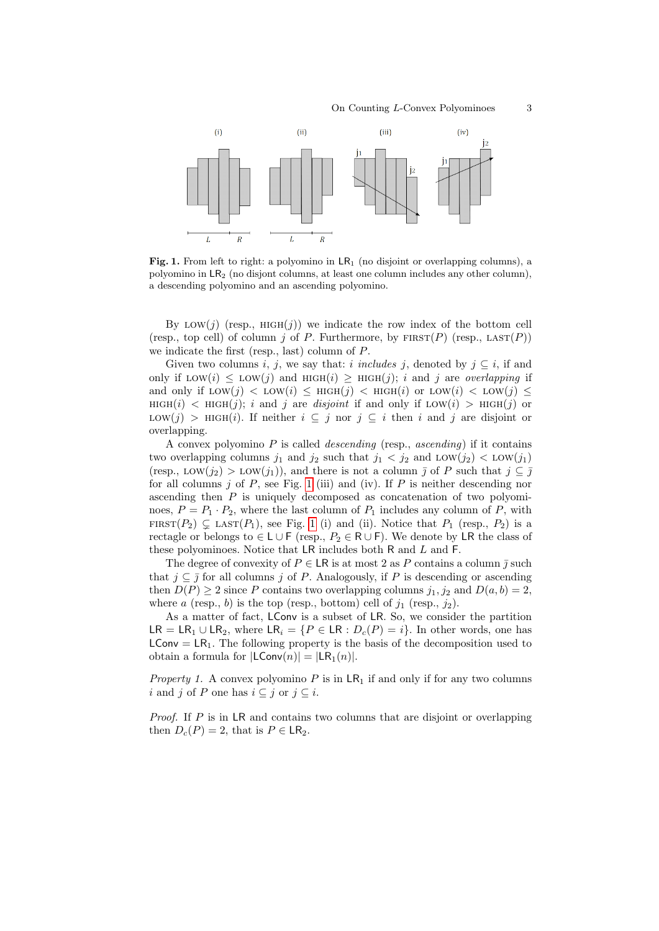

<span id="page-2-0"></span>Fig. 1. From left to right: a polyomino in  $LR_1$  (no disjoint or overlapping columns), a polyomino in LR<sup>2</sup> (no disjont columns, at least one column includes any other column), a descending polyomino and an ascending polyomino.

By LOW(j) (resp., HIGH(j)) we indicate the row index of the bottom cell (resp., top cell) of column j of P. Furthermore, by  $FIRST(P)$  (resp.,  $LAST(P)$ ) we indicate the first (resp., last) column of P.

Given two columns i, j, we say that: i includes j, denoted by  $j \subseteq i$ , if and only if  $\text{Low}(i) \leq \text{LOW}(j)$  and  $\text{HIGH}(i) \geq \text{HIGH}(j); i$  and j are *overlapping* if and only if  $\text{Low}(j) < \text{LOW}(i) \leq \text{HIGH}(j) < \text{HIGH}(i)$  or  $\text{LOW}(i) < \text{LOW}(j) \leq$  $HIGH(i)$  <  $HIGH(j)$ ; i and j are disjoint if and only if LOW(i) > HIGH(j) or LOW(j) > HIGH(i). If neither  $i \subseteq j$  nor  $j \subseteq i$  then i and j are disjoint or overlapping.

A convex polyomino  $P$  is called *descending* (resp., *ascending*) if it contains two overlapping columns  $j_1$  and  $j_2$  such that  $j_1 < j_2$  and  $\text{LOW}(j_2) < \text{LOW}(j_1)$ (resp., LOW(j<sub>2</sub>) > LOW(j<sub>1</sub>)), and there is not a column  $\overline{j}$  of P such that  $j \subseteq \overline{j}$ for all columns  $j$  of  $P$ , see Fig. [1](#page-2-0) (iii) and (iv). If  $P$  is neither descending nor ascending then  $P$  is uniquely decomposed as concatenation of two polyominoes,  $P = P_1 \cdot P_2$ , where the last column of  $P_1$  includes any column of  $P$ , with FIRST $(P_2) \subsetneq$  LAST $(P_1)$ , see Fig. [1](#page-2-0) (i) and (ii). Notice that  $P_1$  (resp.,  $P_2$ ) is a rectagle or belongs to ∈ L ∪ F (resp.,  $P_2$  ∈ R ∪ F). We denote by LR the class of these polyominoes. Notice that  $LR$  includes both  $R$  and  $L$  and  $F$ .

The degree of convexity of  $P \in \mathsf{LR}$  is at most 2 as P contains a column  $\overline{\jmath}$  such that  $j \,\subset \,\overline{\jmath}$  for all columns j of P. Analogously, if P is descending or ascending then  $D(P) \ge 2$  since P contains two overlapping columns  $j_1, j_2$  and  $D(a, b) = 2$ , where a (resp., b) is the top (resp., bottom) cell of  $j_1$  (resp.,  $j_2$ ).

As a matter of fact, LConv is a subset of LR. So, we consider the partition LR = LR<sub>1</sub> ∪ LR<sub>2</sub>, where LR<sub>i</sub> = {P ∈ LR :  $D_c(P) = i$ }. In other words, one has  $LConv = LR_1$ . The following property is the basis of the decomposition used to obtain a formula for  $|LConv(n)| = |LR_1(n)|$ .

*Property 1.* A convex polyomino P is in  $LR_1$  if and only if for any two columns i and j of P one has  $i \subseteq j$  or  $j \subseteq i$ .

Proof. If P is in LR and contains two columns that are disjoint or overlapping then  $D_c(P) = 2$ , that is  $P \in \mathsf{LR}_2$ .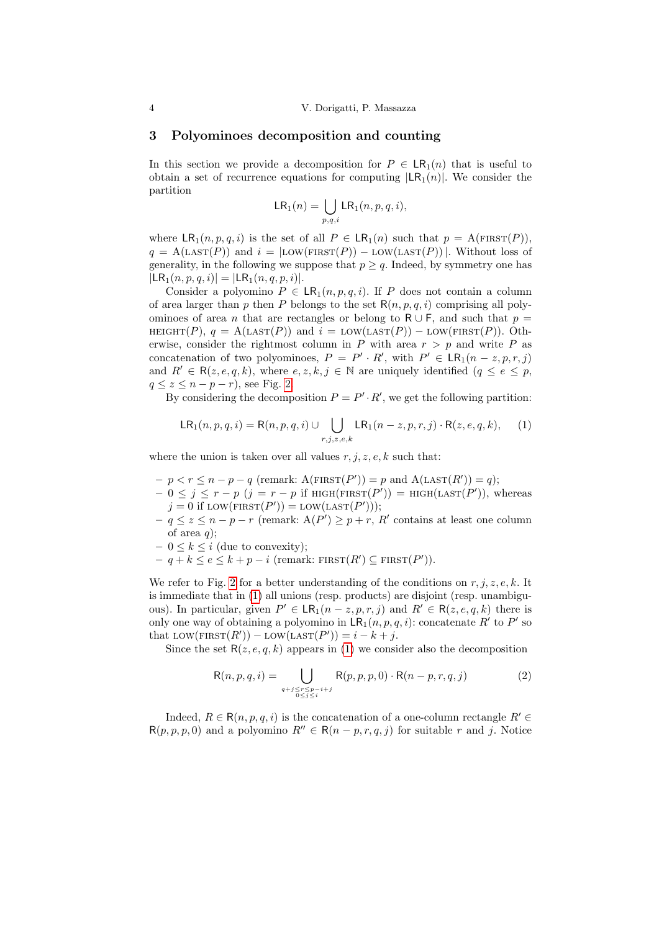#### 3 Polyominoes decomposition and counting

In this section we provide a decomposition for  $P \in \mathsf{LR}_1(n)$  that is useful to obtain a set of recurrence equations for computing  $|LR_1(n)|$ . We consider the partition

$$
\mathsf{LR}_1(n) = \bigcup_{p,q,i} \mathsf{LR}_1(n,p,q,i),
$$

where  $\text{LR}_1(n, p, q, i)$  is the set of all  $P \in \text{LR}_1(n)$  such that  $p = \text{A}(\text{FIRST}(P)).$  $q = A(\text{LAST}(P))$  and  $i = | \text{LOW}(\text{FIRST}(P)) - \text{LOW}(\text{LAST}(P)) |$ . Without loss of generality, in the following we suppose that  $p \geq q$ . Indeed, by symmetry one has  $|LR_1(n, p, q, i)| = |LR_1(n, q, p, i)|.$ 

Consider a polyomino  $P \in \text{LR}_1(n, p, q, i)$ . If P does not contain a column of area larger than p then P belongs to the set  $R(n, p, q, i)$  comprising all polyominoes of area *n* that are rectangles or belong to R  $\cup$  F, and such that  $p =$ HEIGHT(P),  $q = A(\text{LAST}(P))$  and  $i = \text{LOW}(\text{LAST}(P)) - \text{LOW}(\text{FIRST}(P))$ . Otherwise, consider the rightmost column in P with area  $r > p$  and write P as concatenation of two polyominoes,  $P = P' \cdot R'$ , with  $P' \in \mathsf{LR}_1(n-z, p, r, j)$ and  $R' \in \mathsf{R}(z, e, q, k)$ , where  $e, z, k, j \in \mathbb{N}$  are uniquely identified  $(q \leq e \leq p)$ ,  $q \leq z \leq n-p-r$ , see Fig. [2.](#page-4-0)

<span id="page-3-0"></span>By considering the decomposition  $P = P' \cdot R'$ , we get the following partition:

$$
\mathsf{LR}_1(n, p, q, i) = \mathsf{R}(n, p, q, i) \cup \bigcup_{r, j, z, e, k} \mathsf{LR}_1(n - z, p, r, j) \cdot \mathsf{R}(z, e, q, k), \quad (1)
$$

where the union is taken over all values  $r, j, z, e, k$  such that:

- $-p < r \leq n p q$  (remark:  $A(\text{FIRST}(P')) = p$  and  $A(\text{LAST}(R')) = q$ );
- $-0 \leq j \leq r p$   $(j = r p$  if  $\text{HIGH}(\text{FIRST}(P')) = \text{HIGH}(\text{LAST}(P'))$ , whereas  $j = 0$  if  $\text{LOW}(\text{FIRST}(P')) = \text{LOW}(\text{LAST}(P')));$
- $q \leq z \leq n-p-r$  (remark:  $A(P') \geq p+r$ , R' contains at least one column of area  $q$ );
- $-0 \leq k \leq i$  (due to convexity);
- $q + k \leq e \leq k + p i$  (remark: FIRST $(R') \subseteq$  FIRST $(P')$ ).

We refer to Fig. [2](#page-4-0) for a better understanding of the conditions on  $r, j, z, e, k$ . It is immediate that in [\(1\)](#page-3-0) all unions (resp. products) are disjoint (resp. unambiguous). In particular, given  $P' \in \mathsf{LR}_1(n-z, p, r, j)$  and  $R' \in \mathsf{R}(z, e, q, k)$  there is only one way of obtaining a polyomino in  $\text{LR}_1(n, p, q, i)$ : concatenate  $R'$  to  $P'$  so that  $\text{LOW}(\text{FIRST}(R')) - \text{LOW}(\text{LAST}(P')) = i - k + j.$ 

Since the set  $R(z, e, q, k)$  appears in [\(1\)](#page-3-0) we consider also the decomposition

$$
R(n, p, q, i) = \bigcup_{\substack{q+j \le r \le p-i+j \\ 0 < j < i}} R(p, p, p, 0) \cdot R(n-p, r, q, j) \tag{2}
$$

Indeed,  $R \in \mathsf{R}(n, p, q, i)$  is the concatenation of a one-column rectangle  $R' \in$  $R(p, p, p, 0)$  and a polyomino  $R'' \in R(n - p, r, q, j)$  for suitable r and j. Notice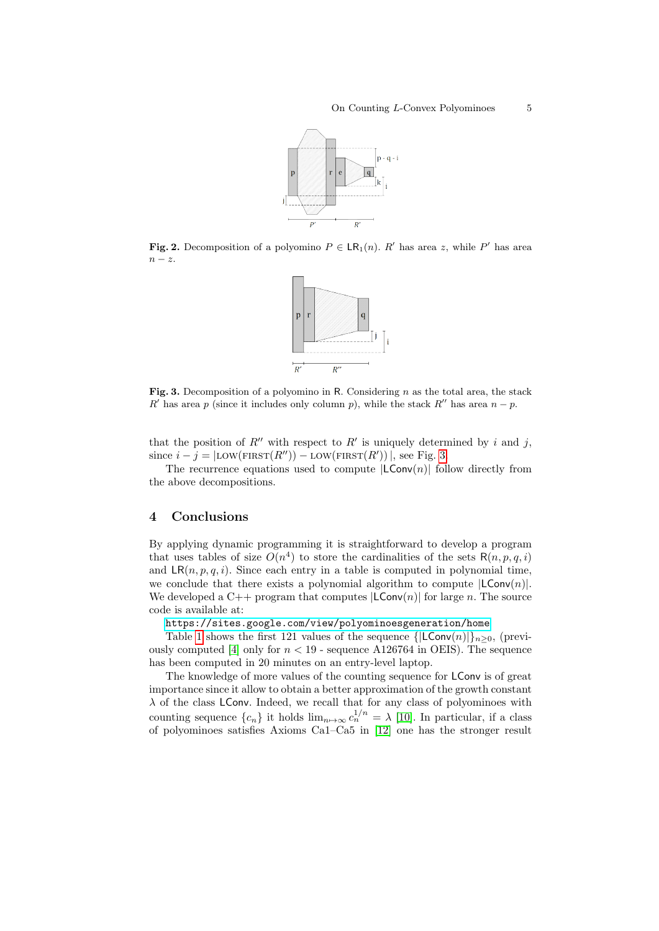

<span id="page-4-0"></span>**Fig. 2.** Decomposition of a polyomino  $P \in \mathsf{LR}_1(n)$ . R' has area z, while P' has area  $n - z$ .



<span id="page-4-1"></span>Fig. 3. Decomposition of a polyomino in R. Considering  $n$  as the total area, the stack R' has area p (since it includes only column p), while the stack R'' has area  $n - p$ .

that the position of  $R''$  with respect to  $R'$  is uniquely determined by i and j, since  $i - j = |$ LOW(FIRST $(R'')$ ) – LOW(FIRST $(R'')$ ), see Fig. [3.](#page-4-1)

The recurrence equations used to compute  $|LConv(n)|$  follow directly from the above decompositions.

# 4 Conclusions

By applying dynamic programming it is straightforward to develop a program that uses tables of size  $O(n^4)$  to store the cardinalities of the sets  $R(n, p, q, i)$ and  $LR(n, p, q, i)$ . Since each entry in a table is computed in polynomial time, we conclude that there exists a polynomial algorithm to compute  $|LConv(n)|$ . We developed a C++ program that computes  $|LConv(n)|$  for large n. The source code is available at:

<https://sites.google.com/view/polyominoesgeneration/home>

Table [1](#page-5-1) shows the first 121 values of the sequence  $\{|LConv(n)|\}_{n>0}$ , (previ-ously computed [\[4\]](#page-5-2) only for  $n < 19$  - sequence A126764 in OEIS). The sequence has been computed in 20 minutes on an entry-level laptop.

The knowledge of more values of the counting sequence for LConv is of great importance since it allow to obtain a better approximation of the growth constant  $\lambda$  of the class LConv. Indeed, we recall that for any class of polyominoes with counting sequence  $\{c_n\}$  it holds  $\lim_{n\to\infty} c_n^{1/n} = \lambda$  [\[10\]](#page-5-3). In particular, if a class of polyominoes satisfies Axioms Ca1–Ca5 in [\[12\]](#page-5-4) one has the stronger result